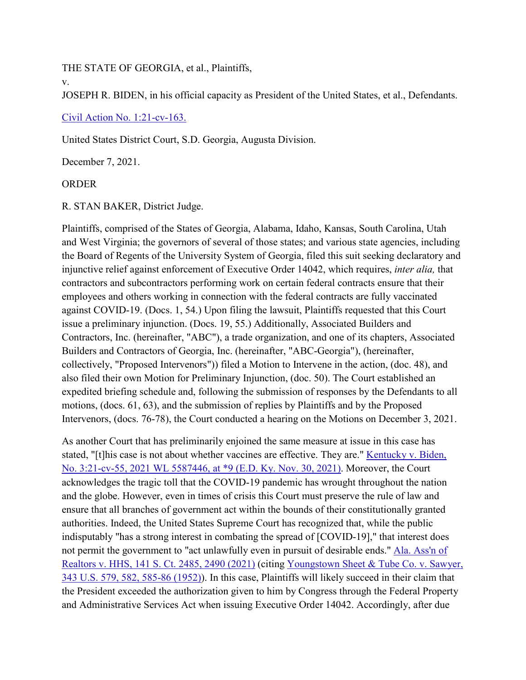THE STATE OF GEORGIA, et al., Plaintiffs,

v.

JOSEPH R. BIDEN, in his official capacity as President of the United States, et al., Defendants.

[Civil Action No. 1:21-cv-163.](https://scholar.google.com/scholar?scidkt=11205504496530879010&as_sdt=2&hl=en)

United States District Court, S.D. Georgia, Augusta Division.

December 7, 2021.

# ORDER

R. STAN BAKER, District Judge.

Plaintiffs, comprised of the States of Georgia, Alabama, Idaho, Kansas, South Carolina, Utah and West Virginia; the governors of several of those states; and various state agencies, including the Board of Regents of the University System of Georgia, filed this suit seeking declaratory and injunctive relief against enforcement of Executive Order 14042, which requires, *inter alia,* that contractors and subcontractors performing work on certain federal contracts ensure that their employees and others working in connection with the federal contracts are fully vaccinated against COVID-19. (Docs. 1, 54.) Upon filing the lawsuit, Plaintiffs requested that this Court issue a preliminary injunction. (Docs. 19, 55.) Additionally, Associated Builders and Contractors, Inc. (hereinafter, "ABC"), a trade organization, and one of its chapters, Associated Builders and Contractors of Georgia, Inc. (hereinafter, "ABC-Georgia"), (hereinafter, collectively, "Proposed Intervenors")) filed a Motion to Intervene in the action, (doc. 48), and also filed their own Motion for Preliminary Injunction, (doc. 50). The Court established an expedited briefing schedule and, following the submission of responses by the Defendants to all motions, (docs. 61, 63), and the submission of replies by Plaintiffs and by the Proposed Intervenors, (docs. 76-78), the Court conducted a hearing on the Motions on December 3, 2021.

As another Court that has preliminarily enjoined the same measure at issue in this case has stated, "[t]his case is not about whether vaccines are effective. They are." [Kentucky v. Biden,](https://scholar.google.com/scholar_case?about=3165732261322186919&hl=en&as_sdt=6,33)  [No. 3:21-cv-55, 2021 WL 5587446, at \\*9 \(E.D. Ky. Nov. 30, 2021\).](https://scholar.google.com/scholar_case?about=3165732261322186919&hl=en&as_sdt=6,33) Moreover, the Court acknowledges the tragic toll that the COVID-19 pandemic has wrought throughout the nation and the globe. However, even in times of crisis this Court must preserve the rule of law and ensure that all branches of government act within the bounds of their constitutionally granted authorities. Indeed, the United States Supreme Court has recognized that, while the public indisputably "has a strong interest in combating the spread of [COVID-19]," that interest does not permit the government to "act unlawfully even in pursuit of desirable ends." [Ala. Ass'n of](https://scholar.google.com/scholar_case?case=550234162675171904&hl=en&as_sdt=6,33)  [Realtors v. HHS, 141 S. Ct. 2485, 2490 \(2021\)](https://scholar.google.com/scholar_case?case=550234162675171904&hl=en&as_sdt=6,33) (citing [Youngstown Sheet & Tube Co. v. Sawyer,](https://scholar.google.com/scholar_case?case=14460863599772421355&hl=en&as_sdt=6,33)  [343 U.S. 579, 582, 585-86 \(1952\)\)](https://scholar.google.com/scholar_case?case=14460863599772421355&hl=en&as_sdt=6,33). In this case, Plaintiffs will likely succeed in their claim that the President exceeded the authorization given to him by Congress through the Federal Property and Administrative Services Act when issuing Executive Order 14042. Accordingly, after due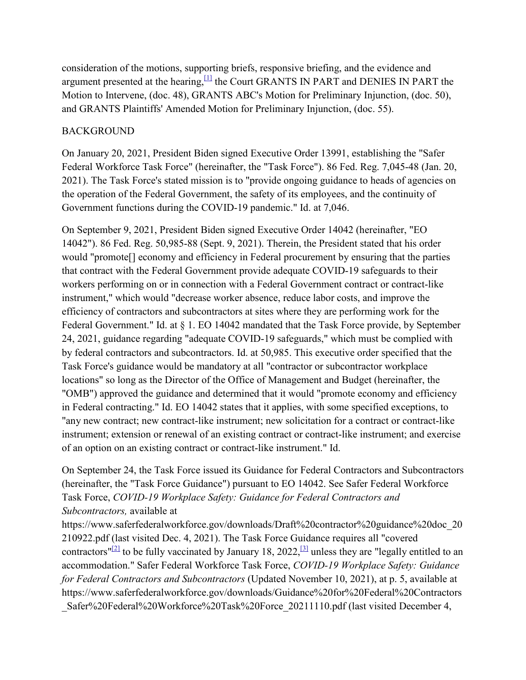consideration of the motions, supporting briefs, responsive briefing, and the evidence and argument presented at the hearing,  $[1]$  the Court GRANTS IN PART and DENIES IN PART the Motion to Intervene, (doc. 48), GRANTS ABC's Motion for Preliminary Injunction, (doc. 50), and GRANTS Plaintiffs' Amended Motion for Preliminary Injunction, (doc. 55).

# BACKGROUND

On January 20, 2021, President Biden signed Executive Order 13991, establishing the "Safer Federal Workforce Task Force" (hereinafter, the "Task Force"). 86 Fed. Reg. 7,045-48 (Jan. 20, 2021). The Task Force's stated mission is to "provide ongoing guidance to heads of agencies on the operation of the Federal Government, the safety of its employees, and the continuity of Government functions during the COVID-19 pandemic." Id. at 7,046.

On September 9, 2021, President Biden signed Executive Order 14042 (hereinafter, "EO 14042"). 86 Fed. Reg. 50,985-88 (Sept. 9, 2021). Therein, the President stated that his order would "promote[] economy and efficiency in Federal procurement by ensuring that the parties that contract with the Federal Government provide adequate COVID-19 safeguards to their workers performing on or in connection with a Federal Government contract or contract-like instrument," which would "decrease worker absence, reduce labor costs, and improve the efficiency of contractors and subcontractors at sites where they are performing work for the Federal Government." Id. at § 1. EO 14042 mandated that the Task Force provide, by September 24, 2021, guidance regarding "adequate COVID-19 safeguards," which must be complied with by federal contractors and subcontractors. Id. at 50,985. This executive order specified that the Task Force's guidance would be mandatory at all "contractor or subcontractor workplace locations" so long as the Director of the Office of Management and Budget (hereinafter, the "OMB") approved the guidance and determined that it would "promote economy and efficiency in Federal contracting." Id. EO 14042 states that it applies, with some specified exceptions, to "any new contract; new contract-like instrument; new solicitation for a contract or contract-like instrument; extension or renewal of an existing contract or contract-like instrument; and exercise of an option on an existing contract or contract-like instrument." Id.

On September 24, the Task Force issued its Guidance for Federal Contractors and Subcontractors (hereinafter, the "Task Force Guidance") pursuant to EO 14042. See Safer Federal Workforce Task Force, *COVID-19 Workplace Safety: Guidance for Federal Contractors and Subcontractors,* available at

https://www.saferfederalworkforce.gov/downloads/Draft%20contractor%20guidance%20doc\_20 210922.pdf (last visited Dec. 4, 2021). The Task Force Guidance requires all "covered contractors"<sup>[2]</sup> to be fully vaccinated by January 18, 2022,<sup>[3]</sup> unless they are "legally entitled to an accommodation." Safer Federal Workforce Task Force, *COVID-19 Workplace Safety: Guidance for Federal Contractors and Subcontractors* (Updated November 10, 2021), at p. 5, available at https://www.saferfederalworkforce.gov/downloads/Guidance%20for%20Federal%20Contractors Safer%20Federal%20Workforce%20Task%20Force 20211110.pdf (last visited December 4,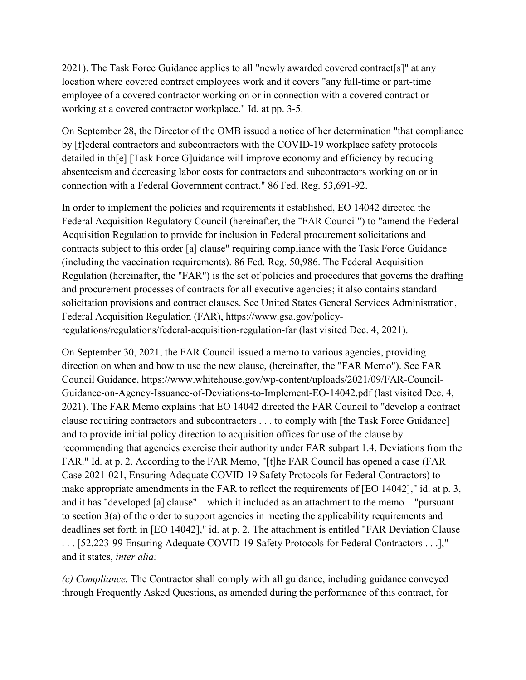2021). The Task Force Guidance applies to all "newly awarded covered contract[s]" at any location where covered contract employees work and it covers "any full-time or part-time employee of a covered contractor working on or in connection with a covered contract or working at a covered contractor workplace." Id. at pp. 3-5.

On September 28, the Director of the OMB issued a notice of her determination "that compliance by [f]ederal contractors and subcontractors with the COVID-19 workplace safety protocols detailed in th[e] [Task Force G]uidance will improve economy and efficiency by reducing absenteeism and decreasing labor costs for contractors and subcontractors working on or in connection with a Federal Government contract." 86 Fed. Reg. 53,691-92.

In order to implement the policies and requirements it established, EO 14042 directed the Federal Acquisition Regulatory Council (hereinafter, the "FAR Council") to "amend the Federal Acquisition Regulation to provide for inclusion in Federal procurement solicitations and contracts subject to this order [a] clause" requiring compliance with the Task Force Guidance (including the vaccination requirements). 86 Fed. Reg. 50,986. The Federal Acquisition Regulation (hereinafter, the "FAR") is the set of policies and procedures that governs the drafting and procurement processes of contracts for all executive agencies; it also contains standard solicitation provisions and contract clauses. See United States General Services Administration, Federal Acquisition Regulation (FAR), https://www.gsa.gov/policyregulations/regulations/federal-acquisition-regulation-far (last visited Dec. 4, 2021).

On September 30, 2021, the FAR Council issued a memo to various agencies, providing direction on when and how to use the new clause, (hereinafter, the "FAR Memo"). See FAR Council Guidance, https://www.whitehouse.gov/wp-content/uploads/2021/09/FAR-Council-Guidance-on-Agency-Issuance-of-Deviations-to-Implement-EO-14042.pdf (last visited Dec. 4, 2021). The FAR Memo explains that EO 14042 directed the FAR Council to "develop a contract clause requiring contractors and subcontractors . . . to comply with [the Task Force Guidance] and to provide initial policy direction to acquisition offices for use of the clause by recommending that agencies exercise their authority under FAR subpart 1.4, Deviations from the FAR." Id. at p. 2. According to the FAR Memo, "[t]he FAR Council has opened a case (FAR Case 2021-021, Ensuring Adequate COVID-19 Safety Protocols for Federal Contractors) to make appropriate amendments in the FAR to reflect the requirements of [EO 14042]," id. at p. 3, and it has "developed [a] clause"—which it included as an attachment to the memo—"pursuant to section 3(a) of the order to support agencies in meeting the applicability requirements and deadlines set forth in [EO 14042]," id. at p. 2. The attachment is entitled "FAR Deviation Clause . . . [52.223-99 Ensuring Adequate COVID-19 Safety Protocols for Federal Contractors . . .]," and it states, *inter alia:*

*(c) Compliance.* The Contractor shall comply with all guidance, including guidance conveyed through Frequently Asked Questions, as amended during the performance of this contract, for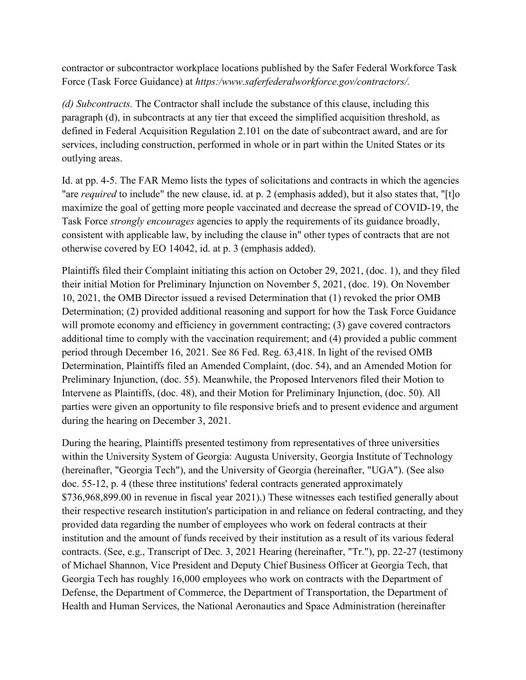contractor or subcontractor workplace locations published by the Safer Federal Workforce Task Force (Task Force Guidance) at *https:/www.saferfederalworkforce.gov/contractors/.*

*(d) Subcontracts.* The Contractor shall include the substance of this clause, including this paragraph (d), in subcontracts at any tier that exceed the simplified acquisition threshold, as defined in Federal Acquisition Regulation 2.101 on the date of subcontract award, and are for services, including construction, performed in whole or in part within the United States or its outlying areas.

Id. at pp. 4-5. The FAR Memo lists the types of solicitations and contracts in which the agencies "are *required* to include" the new clause, id. at p. 2 (emphasis added), but it also states that, "[t]o maximize the goal of getting more people vaccinated and decrease the spread of COVID-19, the Task Force *strongly encourages* agencies to apply the requirements of its guidance broadly, consistent with applicable law, by including the clause in" other types of contracts that are not otherwise covered by EO 14042, id. at p. 3 (emphasis added).

Plaintiffs filed their Complaint initiating this action on October 29, 2021, (doc. 1), and they filed their initial Motion for Preliminary Injunction on November 5, 2021, (doc. 19). On November 10, 2021, the OMB Director issued a revised Determination that (1) revoked the prior OMB Determination; (2) provided additional reasoning and support for how the Task Force Guidance will promote economy and efficiency in government contracting; (3) gave covered contractors additional time to comply with the vaccination requirement; and (4) provided a public comment period through December 16, 2021. See 86 Fed. Reg. 63,418. In light of the revised OMB Determination, Plaintiffs filed an Amended Complaint, (doc. 54), and an Amended Motion for Preliminary Injunction, (doc. 55). Meanwhile, the Proposed Intervenors filed their Motion to Intervene as Plaintiffs, (doc. 48), and their Motion for Preliminary Injunction, (doc. 50). All parties were given an opportunity to file responsive briefs and to present evidence and argument during the hearing on December 3, 2021.

During the hearing, Plaintiffs presented testimony from representatives of three universities within the University System of Georgia: Augusta University, Georgia Institute of Technology (hereinafter, "Georgia Tech"), and the University of Georgia (hereinafter, "UGA"). (See also doc. 55-12, p. 4 (these three institutions' federal contracts generated approximately \$736,968,899.00 in revenue in fiscal year 2021).) These witnesses each testified generally about their respective research institution's participation in and reliance on federal contracting, and they provided data regarding the number of employees who work on federal contracts at their institution and the amount of funds received by their institution as a result of its various federal contracts. (See, e.g., Transcript of Dec. 3, 2021 Hearing (hereinafter, "Tr."), pp. 22-27 (testimony of Michael Shannon, Vice President and Deputy Chief Business Officer at Georgia Tech, that Georgia Tech has roughly 16,000 employees who work on contracts with the Department of Defense, the Department of Commerce, the Department of Transportation, the Department of Health and Human Services, the National Aeronautics and Space Administration (hereinafter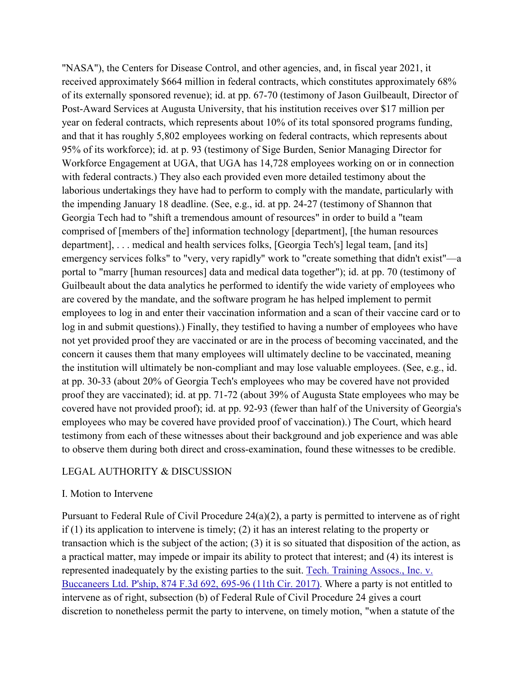"NASA"), the Centers for Disease Control, and other agencies, and, in fiscal year 2021, it received approximately \$664 million in federal contracts, which constitutes approximately 68% of its externally sponsored revenue); id. at pp. 67-70 (testimony of Jason Guilbeault, Director of Post-Award Services at Augusta University, that his institution receives over \$17 million per year on federal contracts, which represents about 10% of its total sponsored programs funding, and that it has roughly 5,802 employees working on federal contracts, which represents about 95% of its workforce); id. at p. 93 (testimony of Sige Burden, Senior Managing Director for Workforce Engagement at UGA, that UGA has 14,728 employees working on or in connection with federal contracts.) They also each provided even more detailed testimony about the laborious undertakings they have had to perform to comply with the mandate, particularly with the impending January 18 deadline. (See, e.g., id. at pp. 24-27 (testimony of Shannon that Georgia Tech had to "shift a tremendous amount of resources" in order to build a "team comprised of [members of the] information technology [department], [the human resources department], . . . medical and health services folks, [Georgia Tech's] legal team, [and its] emergency services folks" to "very, very rapidly" work to "create something that didn't exist"—a portal to "marry [human resources] data and medical data together"); id. at pp. 70 (testimony of Guilbeault about the data analytics he performed to identify the wide variety of employees who are covered by the mandate, and the software program he has helped implement to permit employees to log in and enter their vaccination information and a scan of their vaccine card or to log in and submit questions).) Finally, they testified to having a number of employees who have not yet provided proof they are vaccinated or are in the process of becoming vaccinated, and the concern it causes them that many employees will ultimately decline to be vaccinated, meaning the institution will ultimately be non-compliant and may lose valuable employees. (See, e.g., id. at pp. 30-33 (about 20% of Georgia Tech's employees who may be covered have not provided proof they are vaccinated); id. at pp. 71-72 (about 39% of Augusta State employees who may be covered have not provided proof); id. at pp. 92-93 (fewer than half of the University of Georgia's employees who may be covered have provided proof of vaccination).) The Court, which heard testimony from each of these witnesses about their background and job experience and was able to observe them during both direct and cross-examination, found these witnesses to be credible.

#### LEGAL AUTHORITY & DISCUSSION

#### I. Motion to Intervene

Pursuant to Federal Rule of Civil Procedure 24(a)(2), a party is permitted to intervene as of right if (1) its application to intervene is timely; (2) it has an interest relating to the property or transaction which is the subject of the action; (3) it is so situated that disposition of the action, as a practical matter, may impede or impair its ability to protect that interest; and (4) its interest is represented inadequately by the existing parties to the suit. [Tech. Training Assocs., Inc. v.](https://scholar.google.com/scholar_case?case=2065248450693425422&hl=en&as_sdt=6,33)  [Buccaneers Ltd. P'ship, 874 F.3d 692, 695-96 \(11th Cir. 2017\).](https://scholar.google.com/scholar_case?case=2065248450693425422&hl=en&as_sdt=6,33) Where a party is not entitled to intervene as of right, subsection (b) of Federal Rule of Civil Procedure 24 gives a court discretion to nonetheless permit the party to intervene, on timely motion, "when a statute of the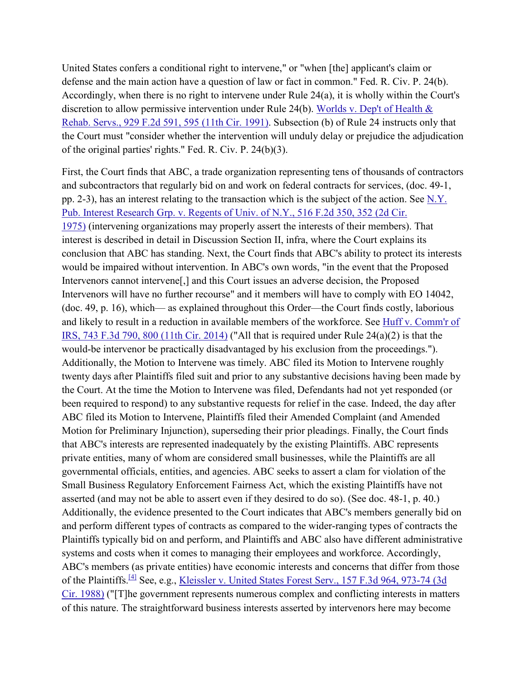United States confers a conditional right to intervene," or "when [the] applicant's claim or defense and the main action have a question of law or fact in common." Fed. R. Civ. P. 24(b). Accordingly, when there is no right to intervene under Rule 24(a), it is wholly within the Court's discretion to allow permissive intervention under Rule 24(b). Worlds v. Dep't of Health & [Rehab. Servs., 929 F.2d 591, 595 \(11th Cir. 1991\).](https://scholar.google.com/scholar_case?case=966219401199748693&hl=en&as_sdt=6,33) Subsection (b) of Rule 24 instructs only that the Court must "consider whether the intervention will unduly delay or prejudice the adjudication of the original parties' rights." Fed. R. Civ. P. 24(b)(3).

First, the Court finds that ABC, a trade organization representing tens of thousands of contractors and subcontractors that regularly bid on and work on federal contracts for services, (doc. 49-1, pp. 2-3), has an interest relating to the transaction which is the subject of the action. See [N.Y.](https://scholar.google.com/scholar_case?case=810088152429685982&hl=en&as_sdt=6,33)  [Pub. Interest Research Grp. v. Regents of Univ. of N.Y., 516 F.2d 350, 352 \(2d Cir.](https://scholar.google.com/scholar_case?case=810088152429685982&hl=en&as_sdt=6,33)  [1975\)](https://scholar.google.com/scholar_case?case=810088152429685982&hl=en&as_sdt=6,33) (intervening organizations may properly assert the interests of their members). That interest is described in detail in Discussion Section II, infra, where the Court explains its conclusion that ABC has standing. Next, the Court finds that ABC's ability to protect its interests would be impaired without intervention. In ABC's own words, "in the event that the Proposed Intervenors cannot intervene[,] and this Court issues an adverse decision, the Proposed Intervenors will have no further recourse" and it members will have to comply with EO 14042, (doc. 49, p. 16), which— as explained throughout this Order—the Court finds costly, laborious and likely to result in a reduction in available members of the workforce. See [Huff v. Comm'r of](https://scholar.google.com/scholar_case?case=6559701722056709112&hl=en&as_sdt=6,33)  [IRS, 743 F.3d 790, 800 \(11th Cir. 2014\)](https://scholar.google.com/scholar_case?case=6559701722056709112&hl=en&as_sdt=6,33) ("All that is required under Rule 24(a)(2) is that the would-be intervenor be practically disadvantaged by his exclusion from the proceedings."). Additionally, the Motion to Intervene was timely. ABC filed its Motion to Intervene roughly twenty days after Plaintiffs filed suit and prior to any substantive decisions having been made by the Court. At the time the Motion to Intervene was filed, Defendants had not yet responded (or been required to respond) to any substantive requests for relief in the case. Indeed, the day after ABC filed its Motion to Intervene, Plaintiffs filed their Amended Complaint (and Amended Motion for Preliminary Injunction), superseding their prior pleadings. Finally, the Court finds that ABC's interests are represented inadequately by the existing Plaintiffs. ABC represents private entities, many of whom are considered small businesses, while the Plaintiffs are all governmental officials, entities, and agencies. ABC seeks to assert a clam for violation of the Small Business Regulatory Enforcement Fairness Act, which the existing Plaintiffs have not asserted (and may not be able to assert even if they desired to do so). (See doc. 48-1, p. 40.) Additionally, the evidence presented to the Court indicates that ABC's members generally bid on and perform different types of contracts as compared to the wider-ranging types of contracts the Plaintiffs typically bid on and perform, and Plaintiffs and ABC also have different administrative systems and costs when it comes to managing their employees and workforce. Accordingly, ABC's members (as private entities) have economic interests and concerns that differ from those of the Plaintiffs.<sup>[\[4\]](https://scholar.google.com/scholar_case?case=10756917763590537275&hl=en&as_sdt=6,33#%5B4%5D)</sup> See, e.g., Kleissler v. United States Forest Serv., 157 F.3d 964, 973-74 (3d) [Cir. 1988\)](https://scholar.google.com/scholar_case?case=9558643714340031438&hl=en&as_sdt=6,33) ("[T]he government represents numerous complex and conflicting interests in matters of this nature. The straightforward business interests asserted by intervenors here may become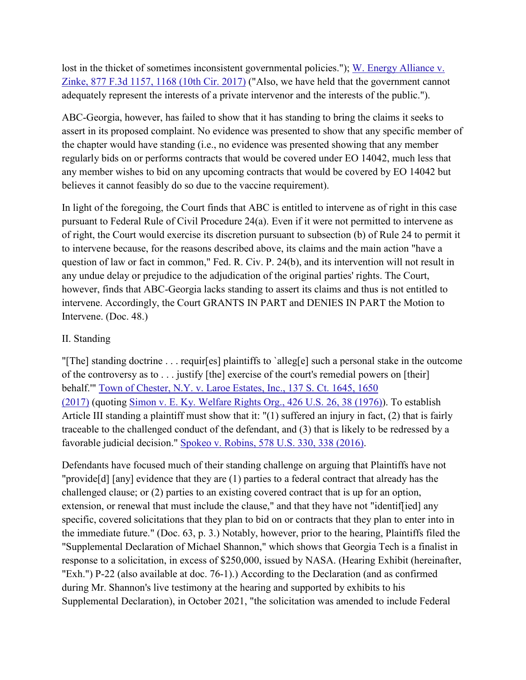lost in the thicket of sometimes inconsistent governmental policies."); W. Energy Alliance v. [Zinke, 877 F.3d 1157, 1168 \(10th Cir. 2017\)](https://scholar.google.com/scholar_case?case=6974963184041070213&hl=en&as_sdt=6,33) ("Also, we have held that the government cannot adequately represent the interests of a private intervenor and the interests of the public.").

ABC-Georgia, however, has failed to show that it has standing to bring the claims it seeks to assert in its proposed complaint. No evidence was presented to show that any specific member of the chapter would have standing (i.e., no evidence was presented showing that any member regularly bids on or performs contracts that would be covered under EO 14042, much less that any member wishes to bid on any upcoming contracts that would be covered by EO 14042 but believes it cannot feasibly do so due to the vaccine requirement).

In light of the foregoing, the Court finds that ABC is entitled to intervene as of right in this case pursuant to Federal Rule of Civil Procedure 24(a). Even if it were not permitted to intervene as of right, the Court would exercise its discretion pursuant to subsection (b) of Rule 24 to permit it to intervene because, for the reasons described above, its claims and the main action "have a question of law or fact in common," Fed. R. Civ. P. 24(b), and its intervention will not result in any undue delay or prejudice to the adjudication of the original parties' rights. The Court, however, finds that ABC-Georgia lacks standing to assert its claims and thus is not entitled to intervene. Accordingly, the Court GRANTS IN PART and DENIES IN PART the Motion to Intervene. (Doc. 48.)

# II. Standing

"[The] standing doctrine . . . requir[es] plaintiffs to `alleg[e] such a personal stake in the outcome of the controversy as to . . . justify [the] exercise of the court's remedial powers on [their] behalf.'" [Town of Chester, N.Y. v. Laroe Estates, Inc., 137 S. Ct. 1645, 1650](https://scholar.google.com/scholar_case?case=3565491155795845975&hl=en&as_sdt=6,33)  [\(2017\)](https://scholar.google.com/scholar_case?case=3565491155795845975&hl=en&as_sdt=6,33) (quoting [Simon v. E. Ky. Welfare Rights Org., 426 U.S. 26, 38 \(1976\)\)](https://scholar.google.com/scholar_case?case=18352907181422138211&hl=en&as_sdt=6,33). To establish Article III standing a plaintiff must show that it: "(1) suffered an injury in fact, (2) that is fairly traceable to the challenged conduct of the defendant, and (3) that is likely to be redressed by a favorable judicial decision." [Spokeo v. Robins, 578 U.S. 330, 338 \(2016\).](https://scholar.google.com/scholar_case?case=11810453531811593153&hl=en&as_sdt=6,33)

Defendants have focused much of their standing challenge on arguing that Plaintiffs have not "provide[d] [any] evidence that they are (1) parties to a federal contract that already has the challenged clause; or (2) parties to an existing covered contract that is up for an option, extension, or renewal that must include the clause," and that they have not "identiffied] any specific, covered solicitations that they plan to bid on or contracts that they plan to enter into in the immediate future." (Doc. 63, p. 3.) Notably, however, prior to the hearing, Plaintiffs filed the "Supplemental Declaration of Michael Shannon," which shows that Georgia Tech is a finalist in response to a solicitation, in excess of \$250,000, issued by NASA. (Hearing Exhibit (hereinafter, "Exh.") P-22 (also available at doc. 76-1).) According to the Declaration (and as confirmed during Mr. Shannon's live testimony at the hearing and supported by exhibits to his Supplemental Declaration), in October 2021, "the solicitation was amended to include Federal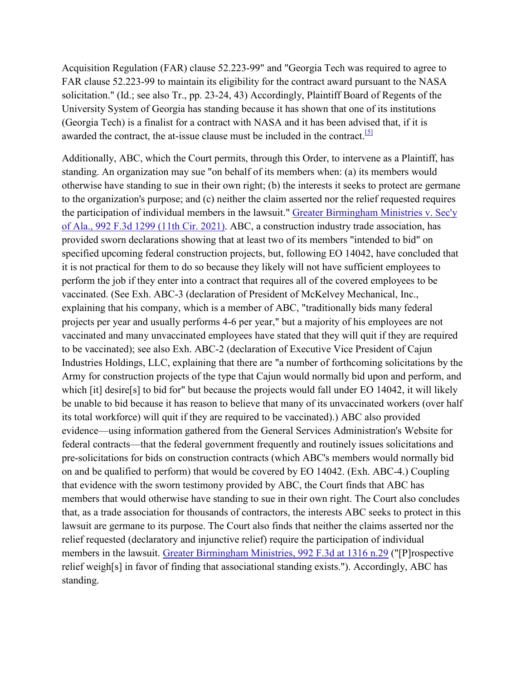Acquisition Regulation (FAR) clause 52.223-99" and "Georgia Tech was required to agree to FAR clause 52.223-99 to maintain its eligibility for the contract award pursuant to the NASA solicitation." (Id.; see also Tr., pp. 23-24, 43) Accordingly, Plaintiff Board of Regents of the University System of Georgia has standing because it has shown that one of its institutions (Georgia Tech) is a finalist for a contract with NASA and it has been advised that, if it is awarded the contract, the at-issue clause must be included in the contract.<sup>[5]</sup>

Additionally, ABC, which the Court permits, through this Order, to intervene as a Plaintiff, has standing. An organization may sue "on behalf of its members when: (a) its members would otherwise have standing to sue in their own right; (b) the interests it seeks to protect are germane to the organization's purpose; and (c) neither the claim asserted nor the relief requested requires the participation of individual members in the lawsuit." [Greater Birmingham Ministries v. Sec'y](https://scholar.google.com/scholar_case?case=16943424445909831490&hl=en&as_sdt=6,33)  [of Ala., 992 F.3d 1299 \(11th Cir. 2021\).](https://scholar.google.com/scholar_case?case=16943424445909831490&hl=en&as_sdt=6,33) ABC, a construction industry trade association, has provided sworn declarations showing that at least two of its members "intended to bid" on specified upcoming federal construction projects, but, following EO 14042, have concluded that it is not practical for them to do so because they likely will not have sufficient employees to perform the job if they enter into a contract that requires all of the covered employees to be vaccinated. (See Exh. ABC-3 (declaration of President of McKelvey Mechanical, Inc., explaining that his company, which is a member of ABC, "traditionally bids many federal projects per year and usually performs 4-6 per year," but a majority of his employees are not vaccinated and many unvaccinated employees have stated that they will quit if they are required to be vaccinated); see also Exh. ABC-2 (declaration of Executive Vice President of Cajun Industries Holdings, LLC, explaining that there are "a number of forthcoming solicitations by the Army for construction projects of the type that Cajun would normally bid upon and perform, and which [it] desire[s] to bid for" but because the projects would fall under EO 14042, it will likely be unable to bid because it has reason to believe that many of its unvaccinated workers (over half its total workforce) will quit if they are required to be vaccinated).) ABC also provided evidence—using information gathered from the General Services Administration's Website for federal contracts—that the federal government frequently and routinely issues solicitations and pre-solicitations for bids on construction contracts (which ABC's members would normally bid on and be qualified to perform) that would be covered by EO 14042. (Exh. ABC-4.) Coupling that evidence with the sworn testimony provided by ABC, the Court finds that ABC has members that would otherwise have standing to sue in their own right. The Court also concludes that, as a trade association for thousands of contractors, the interests ABC seeks to protect in this lawsuit are germane to its purpose. The Court also finds that neither the claims asserted nor the relief requested (declaratory and injunctive relief) require the participation of individual members in the lawsuit. [Greater Birmingham Ministries, 992 F.3d at 1316 n.29](https://scholar.google.com/scholar_case?case=16943424445909831490&hl=en&as_sdt=6,33) ("[P]rospective relief weigh[s] in favor of finding that associational standing exists."). Accordingly, ABC has standing.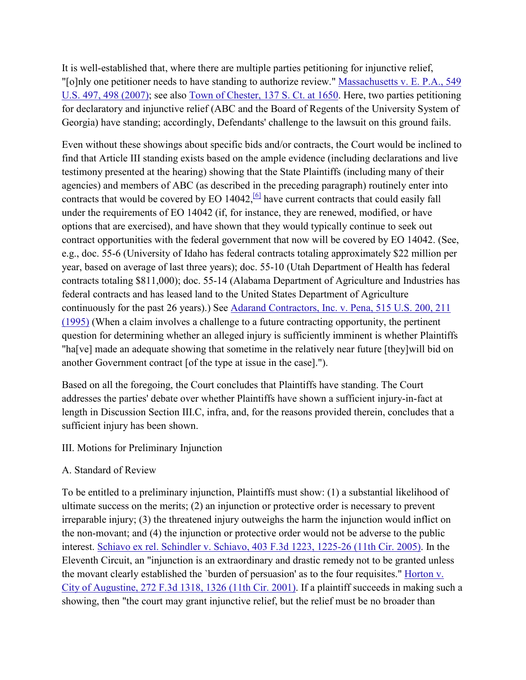It is well-established that, where there are multiple parties petitioning for injunctive relief, "[o]nly one petitioner needs to have standing to authorize review." [Massachusetts v. E. P.A., 549](https://scholar.google.com/scholar_case?case=18363956969502505811&hl=en&as_sdt=6,33)  [U.S. 497, 498 \(2007\);](https://scholar.google.com/scholar_case?case=18363956969502505811&hl=en&as_sdt=6,33) see also [Town of Chester, 137 S. Ct. at 1650.](https://scholar.google.com/scholar_case?case=3565491155795845975&hl=en&as_sdt=6,33) Here, two parties petitioning for declaratory and injunctive relief (ABC and the Board of Regents of the University System of Georgia) have standing; accordingly, Defendants' challenge to the lawsuit on this ground fails.

Even without these showings about specific bids and/or contracts, the Court would be inclined to find that Article III standing exists based on the ample evidence (including declarations and live testimony presented at the hearing) showing that the State Plaintiffs (including many of their agencies) and members of ABC (as described in the preceding paragraph) routinely enter into contracts that would be covered by EO  $14042$ , <sup>[6]</sup> have current contracts that could easily fall under the requirements of EO 14042 (if, for instance, they are renewed, modified, or have options that are exercised), and have shown that they would typically continue to seek out contract opportunities with the federal government that now will be covered by EO 14042. (See, e.g., doc. 55-6 (University of Idaho has federal contracts totaling approximately \$22 million per year, based on average of last three years); doc. 55-10 (Utah Department of Health has federal contracts totaling \$811,000); doc. 55-14 (Alabama Department of Agriculture and Industries has federal contracts and has leased land to the United States Department of Agriculture continuously for the past 26 years).) See [Adarand Contractors, Inc. v. Pena, 515 U.S. 200, 211](https://scholar.google.com/scholar_case?case=2147006255844490323&hl=en&as_sdt=6,33)  [\(1995\)](https://scholar.google.com/scholar_case?case=2147006255844490323&hl=en&as_sdt=6,33) (When a claim involves a challenge to a future contracting opportunity, the pertinent question for determining whether an alleged injury is sufficiently imminent is whether Plaintiffs "ha[ve] made an adequate showing that sometime in the relatively near future [they]will bid on another Government contract [of the type at issue in the case].").

Based on all the foregoing, the Court concludes that Plaintiffs have standing. The Court addresses the parties' debate over whether Plaintiffs have shown a sufficient injury-in-fact at length in Discussion Section III.C, infra, and, for the reasons provided therein, concludes that a sufficient injury has been shown.

# III. Motions for Preliminary Injunction

# A. Standard of Review

To be entitled to a preliminary injunction, Plaintiffs must show: (1) a substantial likelihood of ultimate success on the merits; (2) an injunction or protective order is necessary to prevent irreparable injury; (3) the threatened injury outweighs the harm the injunction would inflict on the non-movant; and (4) the injunction or protective order would not be adverse to the public interest. [Schiavo ex rel. Schindler v. Schiavo, 403 F.3d 1223, 1225-26 \(11th Cir. 2005\).](https://scholar.google.com/scholar_case?case=11457574767744851176&hl=en&as_sdt=6,33) In the Eleventh Circuit, an "injunction is an extraordinary and drastic remedy not to be granted unless the movant clearly established the `burden of persuasion' as to the four requisites." [Horton v.](https://scholar.google.com/scholar_case?case=9815365734681342603&hl=en&as_sdt=6,33)  [City of Augustine, 272 F.3d 1318, 1326 \(11th Cir. 2001\).](https://scholar.google.com/scholar_case?case=9815365734681342603&hl=en&as_sdt=6,33) If a plaintiff succeeds in making such a showing, then "the court may grant injunctive relief, but the relief must be no broader than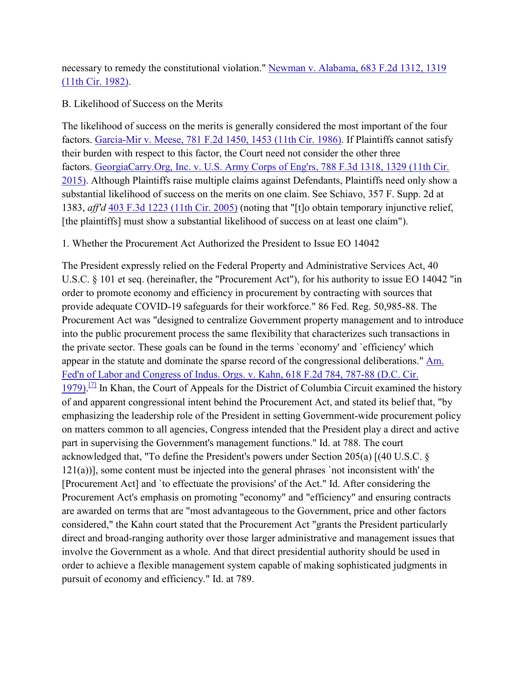necessary to remedy the constitutional violation." Newman v. Alabama, 683 F.2d 1312, 1319 [\(11th Cir. 1982\).](https://scholar.google.com/scholar_case?case=17679731181767496979&hl=en&as_sdt=6,33)

B. Likelihood of Success on the Merits

The likelihood of success on the merits is generally considered the most important of the four factors. [Garcia-Mir v. Meese, 781 F.2d 1450, 1453 \(11th Cir. 1986\).](https://scholar.google.com/scholar_case?case=3193670959220654885&hl=en&as_sdt=6,33) If Plaintiffs cannot satisfy their burden with respect to this factor, the Court need not consider the other three factors. [GeorgiaCarry.Org, Inc. v. U.S. Army Corps of Eng'rs, 788 F.3d 1318, 1329 \(11th Cir.](https://scholar.google.com/scholar_case?case=15590375228907417509&hl=en&as_sdt=6,33)  [2015\).](https://scholar.google.com/scholar_case?case=15590375228907417509&hl=en&as_sdt=6,33) Although Plaintiffs raise multiple claims against Defendants, Plaintiffs need only show a substantial likelihood of success on the merits on one claim. See Schiavo, 357 F. Supp. 2d at 1383, *aff'd* [403 F.3d 1223 \(11th Cir. 2005\)](https://scholar.google.com/scholar_case?case=11457574767744851176&hl=en&as_sdt=6,33) (noting that "[t]o obtain temporary injunctive relief, [the plaintiffs] must show a substantial likelihood of success on at least one claim").

1. Whether the Procurement Act Authorized the President to Issue EO 14042

The President expressly relied on the Federal Property and Administrative Services Act, 40 U.S.C. § 101 et seq. (hereinafter, the "Procurement Act"), for his authority to issue EO 14042 "in order to promote economy and efficiency in procurement by contracting with sources that provide adequate COVID-19 safeguards for their workforce." 86 Fed. Reg. 50,985-88. The Procurement Act was "designed to centralize Government property management and to introduce into the public procurement process the same flexibility that characterizes such transactions in the private sector. These goals can be found in the terms `economy' and `efficiency' which appear in the statute and dominate the sparse record of the congressional deliberations." Am. [Fed'n of Labor and Congress of Indus. Orgs. v. Kahn, 618 F.2d 784, 787-88 \(D.C. Cir.](https://scholar.google.com/scholar_case?case=7762467649943522525&hl=en&as_sdt=6,33)   $1979$ .<sup>[7]</sup> In Khan, the Court of Appeals for the District of Columbia Circuit examined the history of and apparent congressional intent behind the Procurement Act, and stated its belief that, "by emphasizing the leadership role of the President in setting Government-wide procurement policy on matters common to all agencies, Congress intended that the President play a direct and active part in supervising the Government's management functions." Id. at 788. The court acknowledged that, "To define the President's powers under Section 205(a) [(40 U.S.C. § 121(a))], some content must be injected into the general phrases `not inconsistent with' the [Procurement Act] and `to effectuate the provisions' of the Act." Id. After considering the Procurement Act's emphasis on promoting "economy" and "efficiency" and ensuring contracts are awarded on terms that are "most advantageous to the Government, price and other factors considered," the Kahn court stated that the Procurement Act "grants the President particularly direct and broad-ranging authority over those larger administrative and management issues that involve the Government as a whole. And that direct presidential authority should be used in order to achieve a flexible management system capable of making sophisticated judgments in pursuit of economy and efficiency." Id. at 789.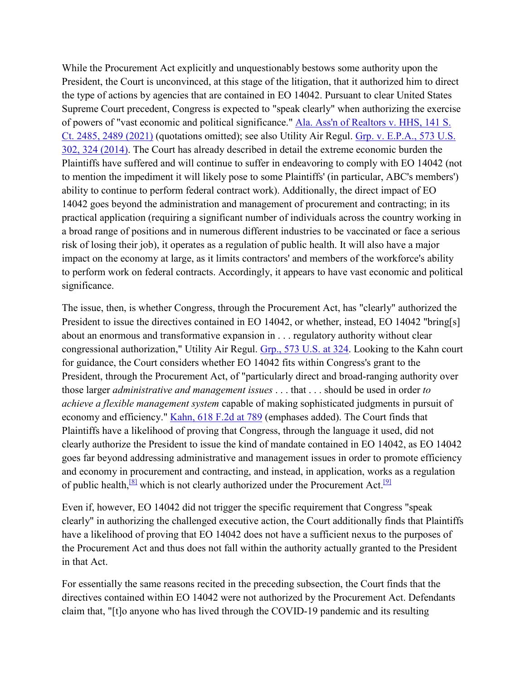While the Procurement Act explicitly and unquestionably bestows some authority upon the President, the Court is unconvinced, at this stage of the litigation, that it authorized him to direct the type of actions by agencies that are contained in EO 14042. Pursuant to clear United States Supreme Court precedent, Congress is expected to "speak clearly" when authorizing the exercise of powers of "vast economic and political significance." [Ala. Ass'n of Realtors v. HHS, 141 S.](https://scholar.google.com/scholar_case?case=550234162675171904&hl=en&as_sdt=6,33)  [Ct. 2485, 2489 \(2021\)](https://scholar.google.com/scholar_case?case=550234162675171904&hl=en&as_sdt=6,33) (quotations omitted); see also Utility Air Regul. [Grp. v. E.P.A., 573 U.S.](https://scholar.google.com/scholar_case?case=5508189020577131514&hl=en&as_sdt=6,33)  [302, 324 \(2014\).](https://scholar.google.com/scholar_case?case=5508189020577131514&hl=en&as_sdt=6,33) The Court has already described in detail the extreme economic burden the Plaintiffs have suffered and will continue to suffer in endeavoring to comply with EO 14042 (not to mention the impediment it will likely pose to some Plaintiffs' (in particular, ABC's members') ability to continue to perform federal contract work). Additionally, the direct impact of EO 14042 goes beyond the administration and management of procurement and contracting; in its practical application (requiring a significant number of individuals across the country working in a broad range of positions and in numerous different industries to be vaccinated or face a serious risk of losing their job), it operates as a regulation of public health. It will also have a major impact on the economy at large, as it limits contractors' and members of the workforce's ability to perform work on federal contracts. Accordingly, it appears to have vast economic and political significance.

The issue, then, is whether Congress, through the Procurement Act, has "clearly" authorized the President to issue the directives contained in EO 14042, or whether, instead, EO 14042 "bring[s] about an enormous and transformative expansion in . . . regulatory authority without clear congressional authorization," Utility Air Regul. [Grp., 573 U.S. at 324.](https://scholar.google.com/scholar_case?case=5508189020577131514&hl=en&as_sdt=6,33) Looking to the Kahn court for guidance, the Court considers whether EO 14042 fits within Congress's grant to the President, through the Procurement Act, of "particularly direct and broad-ranging authority over those larger *administrative and management issues* . . . that . . . should be used in order *to achieve a flexible management system* capable of making sophisticated judgments in pursuit of economy and efficiency." [Kahn, 618 F.2d at 789](https://scholar.google.com/scholar_case?case=7762467649943522525&hl=en&as_sdt=6,33) (emphases added). The Court finds that Plaintiffs have a likelihood of proving that Congress, through the language it used, did not clearly authorize the President to issue the kind of mandate contained in EO 14042, as EO 14042 goes far beyond addressing administrative and management issues in order to promote efficiency and economy in procurement and contracting, and instead, in application, works as a regulation of public health,  $[8]$  which is not clearly authorized under the Procurement Act.  $[9]$ 

Even if, however, EO 14042 did not trigger the specific requirement that Congress "speak clearly" in authorizing the challenged executive action, the Court additionally finds that Plaintiffs have a likelihood of proving that EO 14042 does not have a sufficient nexus to the purposes of the Procurement Act and thus does not fall within the authority actually granted to the President in that Act.

For essentially the same reasons recited in the preceding subsection, the Court finds that the directives contained within EO 14042 were not authorized by the Procurement Act. Defendants claim that, "[t]o anyone who has lived through the COVID-19 pandemic and its resulting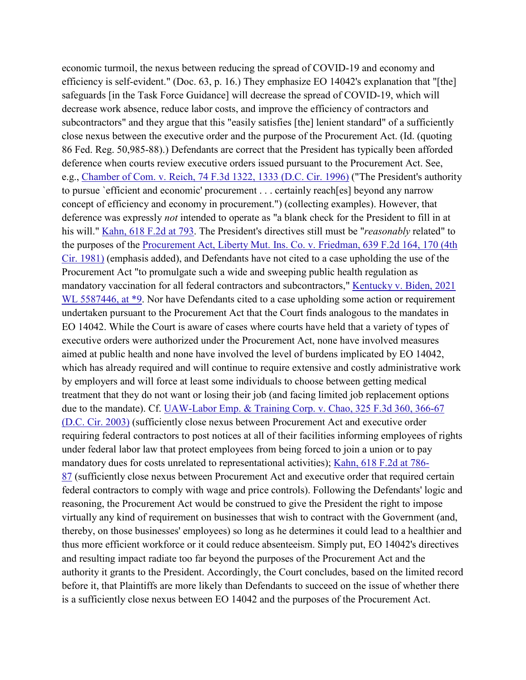economic turmoil, the nexus between reducing the spread of COVID-19 and economy and efficiency is self-evident." (Doc. 63, p. 16.) They emphasize EO 14042's explanation that "[the] safeguards [in the Task Force Guidance] will decrease the spread of COVID-19, which will decrease work absence, reduce labor costs, and improve the efficiency of contractors and subcontractors" and they argue that this "easily satisfies [the] lenient standard" of a sufficiently close nexus between the executive order and the purpose of the Procurement Act. (Id. (quoting 86 Fed. Reg. 50,985-88).) Defendants are correct that the President has typically been afforded deference when courts review executive orders issued pursuant to the Procurement Act. See, e.g., [Chamber of Com. v. Reich, 74 F.3d 1322, 1333 \(D.C. Cir. 1996\)](https://scholar.google.com/scholar_case?case=4028150111619628079&hl=en&as_sdt=6,33) ("The President's authority to pursue `efficient and economic' procurement . . . certainly reach[es] beyond any narrow concept of efficiency and economy in procurement.") (collecting examples). However, that deference was expressly *not* intended to operate as "a blank check for the President to fill in at his will." [Kahn, 618 F.2d at 793.](https://scholar.google.com/scholar_case?case=7762467649943522525&hl=en&as_sdt=6,33) The President's directives still must be "*reasonably* related" to the purposes of the [Procurement Act, Liberty Mut. Ins. Co. v. Friedman, 639 F.2d 164, 170 \(4th](https://scholar.google.com/scholar_case?case=4073221781060684339&hl=en&as_sdt=6,33)  [Cir. 1981\)](https://scholar.google.com/scholar_case?case=4073221781060684339&hl=en&as_sdt=6,33) (emphasis added), and Defendants have not cited to a case upholding the use of the Procurement Act "to promulgate such a wide and sweeping public health regulation as mandatory vaccination for all federal contractors and subcontractors," [Kentucky v. Biden, 2021](https://scholar.google.com/scholar_case?about=3165732261322186919&hl=en&as_sdt=6,33)  [WL 5587446, at \\*9.](https://scholar.google.com/scholar_case?about=3165732261322186919&hl=en&as_sdt=6,33) Nor have Defendants cited to a case upholding some action or requirement undertaken pursuant to the Procurement Act that the Court finds analogous to the mandates in EO 14042. While the Court is aware of cases where courts have held that a variety of types of executive orders were authorized under the Procurement Act, none have involved measures aimed at public health and none have involved the level of burdens implicated by EO 14042, which has already required and will continue to require extensive and costly administrative work by employers and will force at least some individuals to choose between getting medical treatment that they do not want or losing their job (and facing limited job replacement options due to the mandate). Cf. [UAW-Labor Emp. & Training Corp. v. Chao, 325 F.3d 360, 366-67](https://scholar.google.com/scholar_case?case=2178011131718057495&hl=en&as_sdt=6,33)  [\(D.C. Cir. 2003\)](https://scholar.google.com/scholar_case?case=2178011131718057495&hl=en&as_sdt=6,33) (sufficiently close nexus between Procurement Act and executive order requiring federal contractors to post notices at all of their facilities informing employees of rights under federal labor law that protect employees from being forced to join a union or to pay mandatory dues for costs unrelated to representational activities); [Kahn, 618 F.2d at 786-](https://scholar.google.com/scholar_case?case=7762467649943522525&hl=en&as_sdt=6,33) [87](https://scholar.google.com/scholar_case?case=7762467649943522525&hl=en&as_sdt=6,33) (sufficiently close nexus between Procurement Act and executive order that required certain federal contractors to comply with wage and price controls). Following the Defendants' logic and reasoning, the Procurement Act would be construed to give the President the right to impose virtually any kind of requirement on businesses that wish to contract with the Government (and, thereby, on those businesses' employees) so long as he determines it could lead to a healthier and thus more efficient workforce or it could reduce absenteeism. Simply put, EO 14042's directives and resulting impact radiate too far beyond the purposes of the Procurement Act and the authority it grants to the President. Accordingly, the Court concludes, based on the limited record before it, that Plaintiffs are more likely than Defendants to succeed on the issue of whether there is a sufficiently close nexus between EO 14042 and the purposes of the Procurement Act.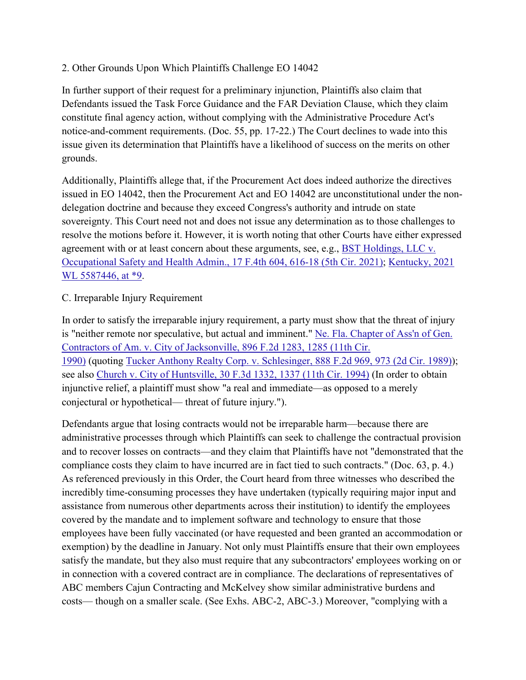# 2. Other Grounds Upon Which Plaintiffs Challenge EO 14042

In further support of their request for a preliminary injunction, Plaintiffs also claim that Defendants issued the Task Force Guidance and the FAR Deviation Clause, which they claim constitute final agency action, without complying with the Administrative Procedure Act's notice-and-comment requirements. (Doc. 55, pp. 17-22.) The Court declines to wade into this issue given its determination that Plaintiffs have a likelihood of success on the merits on other grounds.

Additionally, Plaintiffs allege that, if the Procurement Act does indeed authorize the directives issued in EO 14042, then the Procurement Act and EO 14042 are unconstitutional under the nondelegation doctrine and because they exceed Congress's authority and intrude on state sovereignty. This Court need not and does not issue any determination as to those challenges to resolve the motions before it. However, it is worth noting that other Courts have either expressed agreement with or at least concern about these arguments, see, e.g., [BST Holdings, LLC v.](https://scholar.google.com/scholar_case?about=14810478565567142752&hl=en&as_sdt=6,33)  [Occupational Safety and Health Admin., 17 F.4th 604, 616-18 \(5th Cir. 2021\);](https://scholar.google.com/scholar_case?about=14810478565567142752&hl=en&as_sdt=6,33) [Kentucky, 2021](https://scholar.google.com/scholar_case?about=3165732261322186919&hl=en&as_sdt=6,33)  [WL 5587446, at \\*9.](https://scholar.google.com/scholar_case?about=3165732261322186919&hl=en&as_sdt=6,33)

# C. Irreparable Injury Requirement

In order to satisfy the irreparable injury requirement, a party must show that the threat of injury is "neither remote nor speculative, but actual and imminent." Ne. Fla. Chapter of Ass'n of Gen. [Contractors of Am. v. City of Jacksonville, 896 F.2d 1283, 1285 \(11th Cir.](https://scholar.google.com/scholar_case?case=11111875601626496630&hl=en&as_sdt=6,33)  [1990\)](https://scholar.google.com/scholar_case?case=11111875601626496630&hl=en&as_sdt=6,33) (quoting [Tucker Anthony Realty Corp. v. Schlesinger, 888 F.2d 969, 973 \(2d Cir. 1989\)\)](https://scholar.google.com/scholar_case?case=14888330321923392868&hl=en&as_sdt=6,33); see also [Church v. City of Huntsville, 30 F.3d 1332, 1337 \(11th Cir. 1994\)](https://scholar.google.com/scholar_case?case=14221110655603946094&hl=en&as_sdt=6,33) (In order to obtain injunctive relief, a plaintiff must show "a real and immediate—as opposed to a merely conjectural or hypothetical— threat of future injury.").

Defendants argue that losing contracts would not be irreparable harm—because there are administrative processes through which Plaintiffs can seek to challenge the contractual provision and to recover losses on contracts—and they claim that Plaintiffs have not "demonstrated that the compliance costs they claim to have incurred are in fact tied to such contracts." (Doc. 63, p. 4.) As referenced previously in this Order, the Court heard from three witnesses who described the incredibly time-consuming processes they have undertaken (typically requiring major input and assistance from numerous other departments across their institution) to identify the employees covered by the mandate and to implement software and technology to ensure that those employees have been fully vaccinated (or have requested and been granted an accommodation or exemption) by the deadline in January. Not only must Plaintiffs ensure that their own employees satisfy the mandate, but they also must require that any subcontractors' employees working on or in connection with a covered contract are in compliance. The declarations of representatives of ABC members Cajun Contracting and McKelvey show similar administrative burdens and costs— though on a smaller scale. (See Exhs. ABC-2, ABC-3.) Moreover, "complying with a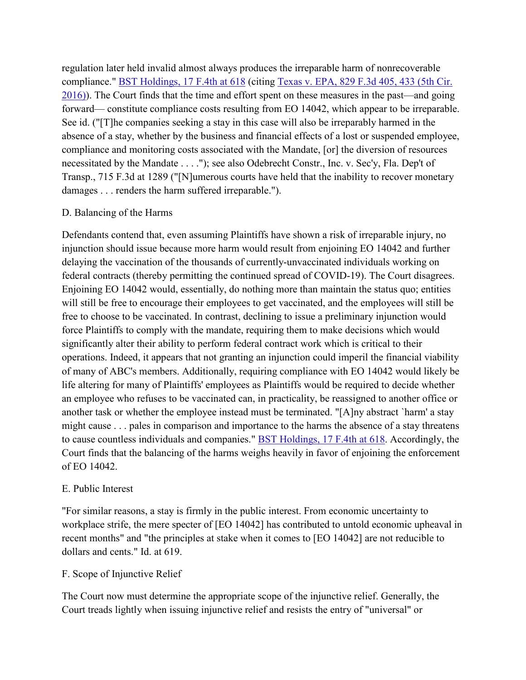regulation later held invalid almost always produces the irreparable harm of nonrecoverable compliance." [BST Holdings, 17 F.4th at 618](https://scholar.google.com/scholar_case?about=14810478565567142752&hl=en&as_sdt=6,33) (citing [Texas v. EPA, 829 F.3d 405, 433 \(5th Cir.](https://scholar.google.com/scholar_case?case=4511198689108897201&hl=en&as_sdt=6,33)  [2016\)\)](https://scholar.google.com/scholar_case?case=4511198689108897201&hl=en&as_sdt=6,33). The Court finds that the time and effort spent on these measures in the past—and going forward— constitute compliance costs resulting from EO 14042, which appear to be irreparable. See id. ("[T]he companies seeking a stay in this case will also be irreparably harmed in the absence of a stay, whether by the business and financial effects of a lost or suspended employee, compliance and monitoring costs associated with the Mandate, [or] the diversion of resources necessitated by the Mandate . . . ."); see also Odebrecht Constr., Inc. v. Sec'y, Fla. Dep't of Transp., 715 F.3d at 1289 ("[N]umerous courts have held that the inability to recover monetary damages . . . renders the harm suffered irreparable.").

### D. Balancing of the Harms

Defendants contend that, even assuming Plaintiffs have shown a risk of irreparable injury, no injunction should issue because more harm would result from enjoining EO 14042 and further delaying the vaccination of the thousands of currently-unvaccinated individuals working on federal contracts (thereby permitting the continued spread of COVID-19). The Court disagrees. Enjoining EO 14042 would, essentially, do nothing more than maintain the status quo; entities will still be free to encourage their employees to get vaccinated, and the employees will still be free to choose to be vaccinated. In contrast, declining to issue a preliminary injunction would force Plaintiffs to comply with the mandate, requiring them to make decisions which would significantly alter their ability to perform federal contract work which is critical to their operations. Indeed, it appears that not granting an injunction could imperil the financial viability of many of ABC's members. Additionally, requiring compliance with EO 14042 would likely be life altering for many of Plaintiffs' employees as Plaintiffs would be required to decide whether an employee who refuses to be vaccinated can, in practicality, be reassigned to another office or another task or whether the employee instead must be terminated. "[A]ny abstract `harm' a stay might cause . . . pales in comparison and importance to the harms the absence of a stay threatens to cause countless individuals and companies." [BST Holdings, 17 F.4th at 618.](https://scholar.google.com/scholar_case?about=14810478565567142752&hl=en&as_sdt=6,33) Accordingly, the Court finds that the balancing of the harms weighs heavily in favor of enjoining the enforcement of EO 14042.

### E. Public Interest

"For similar reasons, a stay is firmly in the public interest. From economic uncertainty to workplace strife, the mere specter of [EO 14042] has contributed to untold economic upheaval in recent months" and "the principles at stake when it comes to [EO 14042] are not reducible to dollars and cents." Id. at 619.

# F. Scope of Injunctive Relief

The Court now must determine the appropriate scope of the injunctive relief. Generally, the Court treads lightly when issuing injunctive relief and resists the entry of "universal" or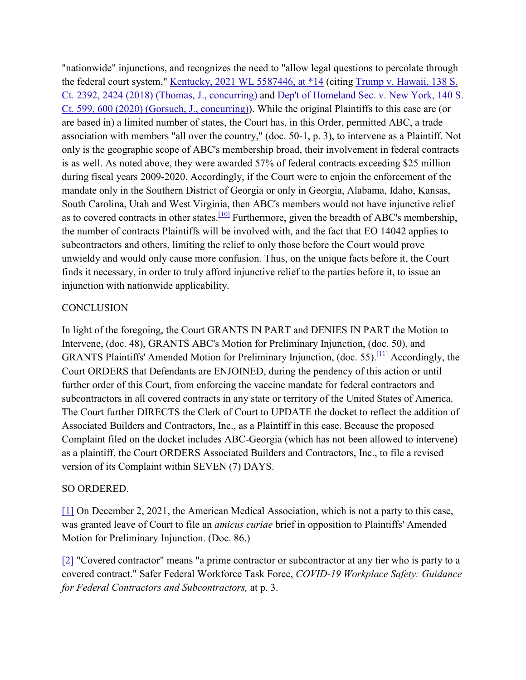"nationwide" injunctions, and recognizes the need to "allow legal questions to percolate through the federal court system," [Kentucky, 2021 WL 5587446, at \\*14](https://scholar.google.com/scholar_case?about=3165732261322186919&hl=en&as_sdt=6,33) (citing Trump v. Hawaii, 138 S. [Ct. 2392, 2424 \(2018\) \(Thomas, J., concurring\)](https://scholar.google.com/scholar_case?case=16062632215534775045&hl=en&as_sdt=6,33) and [Dep't of Homeland Sec. v. New York, 140 S.](https://scholar.google.com/scholar_case?case=4961224114972121205&hl=en&as_sdt=6,33)  [Ct. 599, 600 \(2020\) \(Gorsuch, J., concurring\)\)](https://scholar.google.com/scholar_case?case=4961224114972121205&hl=en&as_sdt=6,33). While the original Plaintiffs to this case are (or are based in) a limited number of states, the Court has, in this Order, permitted ABC, a trade association with members "all over the country," (doc. 50-1, p. 3), to intervene as a Plaintiff. Not only is the geographic scope of ABC's membership broad, their involvement in federal contracts is as well. As noted above, they were awarded 57% of federal contracts exceeding \$25 million during fiscal years 2009-2020. Accordingly, if the Court were to enjoin the enforcement of the mandate only in the Southern District of Georgia or only in Georgia, Alabama, Idaho, Kansas, South Carolina, Utah and West Virginia, then ABC's members would not have injunctive relief as to covered contracts in other states.<sup>[10]</sup> Furthermore, given the breadth of ABC's membership, the number of contracts Plaintiffs will be involved with, and the fact that EO 14042 applies to subcontractors and others, limiting the relief to only those before the Court would prove unwieldy and would only cause more confusion. Thus, on the unique facts before it, the Court finds it necessary, in order to truly afford injunctive relief to the parties before it, to issue an injunction with nationwide applicability.

### **CONCLUSION**

In light of the foregoing, the Court GRANTS IN PART and DENIES IN PART the Motion to Intervene, (doc. 48), GRANTS ABC's Motion for Preliminary Injunction, (doc. 50), and GRANTS Plaintiffs' Amended Motion for Preliminary Injunction, (doc. 55)[.\[11\]](https://scholar.google.com/scholar_case?case=10756917763590537275&hl=en&as_sdt=6,33#%5B11%5D) Accordingly, the Court ORDERS that Defendants are ENJOINED, during the pendency of this action or until further order of this Court, from enforcing the vaccine mandate for federal contractors and subcontractors in all covered contracts in any state or territory of the United States of America. The Court further DIRECTS the Clerk of Court to UPDATE the docket to reflect the addition of Associated Builders and Contractors, Inc., as a Plaintiff in this case. Because the proposed Complaint filed on the docket includes ABC-Georgia (which has not been allowed to intervene) as a plaintiff, the Court ORDERS Associated Builders and Contractors, Inc., to file a revised version of its Complaint within SEVEN (7) DAYS.

# SO ORDERED.

[\[1\]](https://scholar.google.com/scholar_case?case=10756917763590537275&hl=en&as_sdt=6,33#r%5B1%5D) On December 2, 2021, the American Medical Association, which is not a party to this case, was granted leave of Court to file an *amicus curiae* brief in opposition to Plaintiffs' Amended Motion for Preliminary Injunction. (Doc. 86.)

[\[2\]](https://scholar.google.com/scholar_case?case=10756917763590537275&hl=en&as_sdt=6,33#r%5B2%5D) "Covered contractor" means "a prime contractor or subcontractor at any tier who is party to a covered contract." Safer Federal Workforce Task Force, *COVID-19 Workplace Safety: Guidance for Federal Contractors and Subcontractors,* at p. 3.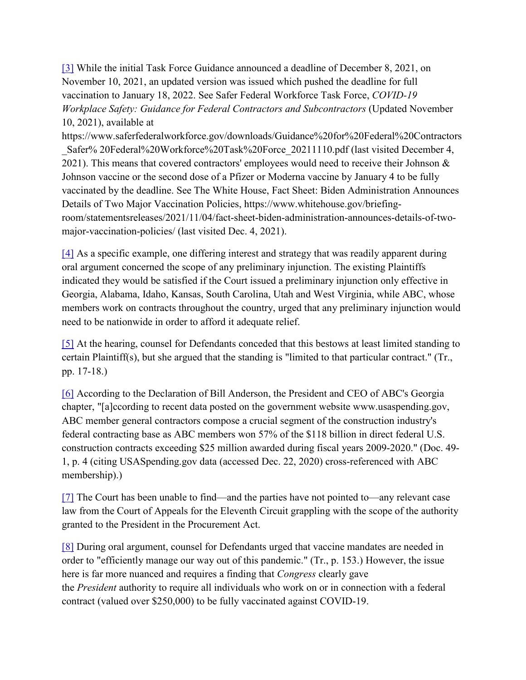[\[3\]](https://scholar.google.com/scholar_case?case=10756917763590537275&hl=en&as_sdt=6,33#r%5B3%5D) While the initial Task Force Guidance announced a deadline of December 8, 2021, on November 10, 2021, an updated version was issued which pushed the deadline for full vaccination to January 18, 2022. See Safer Federal Workforce Task Force, *COVID-19 Workplace Safety: Guidance for Federal Contractors and Subcontractors* (Updated November 10, 2021), available at

https://www.saferfederalworkforce.gov/downloads/Guidance%20for%20Federal%20Contractors \_Safer% 20Federal%20Workforce%20Task%20Force\_20211110.pdf (last visited December 4, 2021). This means that covered contractors' employees would need to receive their Johnson & Johnson vaccine or the second dose of a Pfizer or Moderna vaccine by January 4 to be fully vaccinated by the deadline. See The White House, Fact Sheet: Biden Administration Announces Details of Two Major Vaccination Policies, https://www.whitehouse.gov/briefingroom/statementsreleases/2021/11/04/fact-sheet-biden-administration-announces-details-of-twomajor-vaccination-policies/ (last visited Dec. 4, 2021).

[\[4\]](https://scholar.google.com/scholar_case?case=10756917763590537275&hl=en&as_sdt=6,33#r%5B4%5D) As a specific example, one differing interest and strategy that was readily apparent during oral argument concerned the scope of any preliminary injunction. The existing Plaintiffs indicated they would be satisfied if the Court issued a preliminary injunction only effective in Georgia, Alabama, Idaho, Kansas, South Carolina, Utah and West Virginia, while ABC, whose members work on contracts throughout the country, urged that any preliminary injunction would need to be nationwide in order to afford it adequate relief.

[\[5\]](https://scholar.google.com/scholar_case?case=10756917763590537275&hl=en&as_sdt=6,33#r%5B5%5D) At the hearing, counsel for Defendants conceded that this bestows at least limited standing to certain Plaintiff(s), but she argued that the standing is "limited to that particular contract." (Tr., pp. 17-18.)

[\[6\]](https://scholar.google.com/scholar_case?case=10756917763590537275&hl=en&as_sdt=6,33#r%5B6%5D) According to the Declaration of Bill Anderson, the President and CEO of ABC's Georgia chapter, "[a]ccording to recent data posted on the government website www.usaspending.gov, ABC member general contractors compose a crucial segment of the construction industry's federal contracting base as ABC members won 57% of the \$118 billion in direct federal U.S. construction contracts exceeding \$25 million awarded during fiscal years 2009-2020." (Doc. 49- 1, p. 4 (citing USASpending.gov data (accessed Dec. 22, 2020) cross-referenced with ABC membership).)

[\[7\]](https://scholar.google.com/scholar_case?case=10756917763590537275&hl=en&as_sdt=6,33#r%5B7%5D) The Court has been unable to find—and the parties have not pointed to—any relevant case law from the Court of Appeals for the Eleventh Circuit grappling with the scope of the authority granted to the President in the Procurement Act.

[\[8\]](https://scholar.google.com/scholar_case?case=10756917763590537275&hl=en&as_sdt=6,33#r%5B8%5D) During oral argument, counsel for Defendants urged that vaccine mandates are needed in order to "efficiently manage our way out of this pandemic." (Tr., p. 153.) However, the issue here is far more nuanced and requires a finding that *Congress* clearly gave the *President* authority to require all individuals who work on or in connection with a federal contract (valued over \$250,000) to be fully vaccinated against COVID-19.